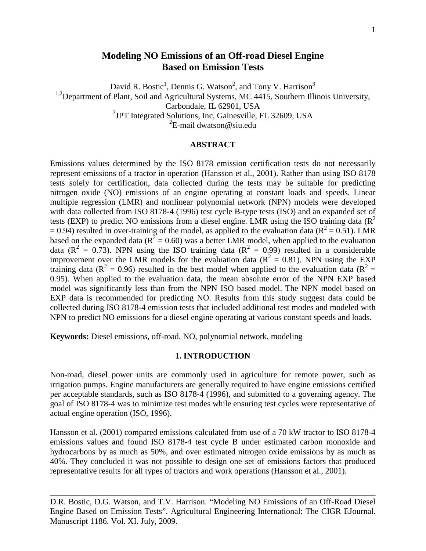# **Modeling NO Emissions of an Off-road Diesel Engine Based on Emission Tests**

David R. Bostic<sup>1</sup>, Dennis G. Watson<sup>2</sup>, and Tony V. Harrison<sup>3</sup>

<sup>1,2</sup>Department of Plant, Soil and Agricultural Systems, MC 4415, Southern Illinois University,

Carbondale, IL 62901, USA

<sup>3</sup>JPT Integrated Solutions, Inc, Gainesville, FL 32609, USA

 ${}^{2}E$ -mail dwatson@siu.edu

#### **ABSTRACT**

Emissions values determined by the ISO 8178 emission certification tests do not necessarily represent emissions of a tractor in operation (Hansson et al., 2001). Rather than using ISO 8178 tests solely for certification, data collected during the tests may be suitable for predicting nitrogen oxide (NO) emissions of an engine operating at constant loads and speeds. Linear multiple regression (LMR) and nonlinear polynomial network (NPN) models were developed with data collected from ISO 8178-4 (1996) test cycle B-type tests (ISO) and an expanded set of tests (EXP) to predict NO emissions from a diesel engine. LMR using the ISO training data ( $R^2$ )  $= 0.94$ ) resulted in over-training of the model, as applied to the evaluation data ( $R^2 = 0.51$ ). LMR based on the expanded data ( $R^2 = 0.60$ ) was a better LMR model, when applied to the evaluation data ( $R^2 = 0.73$ ). NPN using the ISO training data ( $R^2 = 0.99$ ) resulted in a considerable improvement over the LMR models for the evaluation data ( $R^2 = 0.81$ ). NPN using the EXP training data ( $R^2 = 0.96$ ) resulted in the best model when applied to the evaluation data ( $R^2 =$ 0.95). When applied to the evaluation data, the mean absolute error of the NPN EXP based model was significantly less than from the NPN ISO based model. The NPN model based on EXP data is recommended for predicting NO. Results from this study suggest data could be collected during ISO 8178-4 emission tests that included additional test modes and modeled with NPN to predict NO emissions for a diesel engine operating at various constant speeds and loads.

**Keywords:** Diesel emissions, off-road, NO, polynomial network, modeling

### **1. INTRODUCTION**

Non-road, diesel power units are commonly used in agriculture for remote power, such as irrigation pumps. Engine manufacturers are generally required to have engine emissions certified per acceptable standards, such as ISO 8178-4 (1996), and submitted to a governing agency. The goal of ISO 8178-4 was to minimize test modes while ensuring test cycles were representative of actual engine operation (ISO, 1996).

Hansson et al. (2001) compared emissions calculated from use of a 70 kW tractor to ISO 8178-4 emissions values and found ISO 8178-4 test cycle B under estimated carbon monoxide and hydrocarbons by as much as 50%, and over estimated nitrogen oxide emissions by as much as 40%. They concluded it was not possible to design one set of emissions factors that produced representative results for all types of tractors and work operations (Hansson et al., 2001).

D.R. Bostic, D.G. Watson, and T.V. Harrison. "Modeling NO Emissions of an Off-Road Diesel Engine Based on Emission Tests". Agricultural Engineering International: The CIGR EJournal. Manuscript 1186. Vol. XI. July, 2009.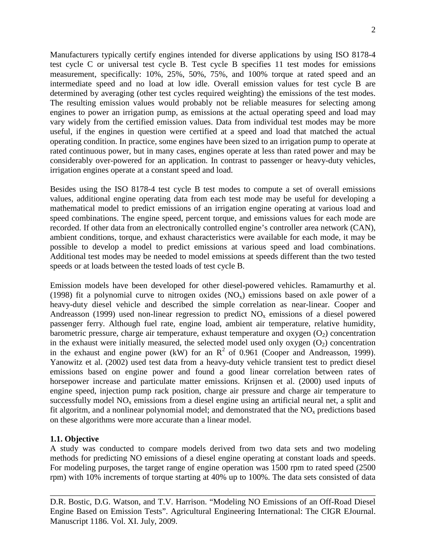Manufacturers typically certify engines intended for diverse applications by using ISO 8178-4 test cycle C or universal test cycle B. Test cycle B specifies 11 test modes for emissions measurement, specifically: 10%, 25%, 50%, 75%, and 100% torque at rated speed and an intermediate speed and no load at low idle. Overall emission values for test cycle B are determined by averaging (other test cycles required weighting) the emissions of the test modes. The resulting emission values would probably not be reliable measures for selecting among engines to power an irrigation pump, as emissions at the actual operating speed and load may vary widely from the certified emission values. Data from individual test modes may be more useful, if the engines in question were certified at a speed and load that matched the actual operating condition. In practice, some engines have been sized to an irrigation pump to operate at rated continuous power, but in many cases, engines operate at less than rated power and may be considerably over-powered for an application. In contrast to passenger or heavy-duty vehicles, irrigation engines operate at a constant speed and load.

Besides using the ISO 8178-4 test cycle B test modes to compute a set of overall emissions values, additional engine operating data from each test mode may be useful for developing a mathematical model to predict emissions of an irrigation engine operating at various load and speed combinations. The engine speed, percent torque, and emissions values for each mode are recorded. If other data from an electronically controlled engine's controller area network (CAN), ambient conditions, torque, and exhaust characteristics were available for each mode, it may be possible to develop a model to predict emissions at various speed and load combinations. Additional test modes may be needed to model emissions at speeds different than the two tested speeds or at loads between the tested loads of test cycle B.

Emission models have been developed for other diesel-powered vehicles. Ramamurthy et al. (1998) fit a polynomial curve to nitrogen oxides  $(NO<sub>x</sub>)$  emissions based on axle power of a heavy-duty diesel vehicle and described the simple correlation as near-linear. Cooper and Andreasson (1999) used non-linear regression to predict  $NO<sub>x</sub>$  emissions of a diesel powered passenger ferry. Although fuel rate, engine load, ambient air temperature, relative humidity, barometric pressure, charge air temperature, exhaust temperature and oxygen  $(O_2)$  concentration in the exhaust were initially measured, the selected model used only oxygen  $(O_2)$  concentration in the exhaust and engine power (kW) for an  $R^2$  of 0.961 (Cooper and Andreasson, 1999). Yanowitz et al. (2002) used test data from a heavy-duty vehicle transient test to predict diesel emissions based on engine power and found a good linear correlation between rates of horsepower increase and particulate matter emissions. Krijnsen et al. (2000) used inputs of engine speed, injection pump rack position, charge air pressure and charge air temperature to successfully model  $NO<sub>x</sub>$  emissions from a diesel engine using an artificial neural net, a split and fit algoritm, and a nonlinear polynomial model; and demonstrated that the  $NO<sub>x</sub>$  predictions based on these algorithms were more accurate than a linear model.

#### **1.1. Objective**

A study was conducted to compare models derived from two data sets and two modeling methods for predicting NO emissions of a diesel engine operating at constant loads and speeds. For modeling purposes, the target range of engine operation was 1500 rpm to rated speed (2500 rpm) with 10% increments of torque starting at 40% up to 100%. The data sets consisted of data

D.R. Bostic, D.G. Watson, and T.V. Harrison. "Modeling NO Emissions of an Off-Road Diesel Engine Based on Emission Tests". Agricultural Engineering International: The CIGR EJournal. Manuscript 1186. Vol. XI. July, 2009.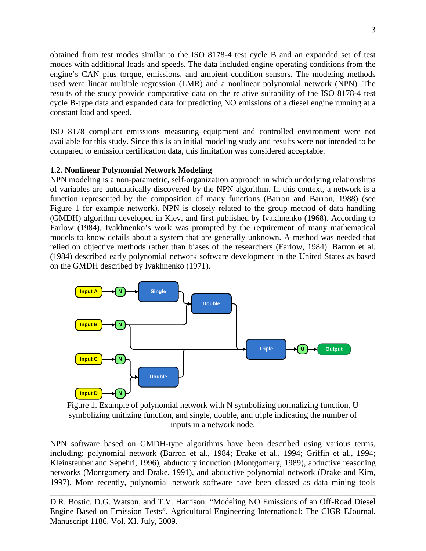obtained from test modes similar to the ISO 8178-4 test cycle B and an expanded set of test modes with additional loads and speeds. The data included engine operating conditions from the engine's CAN plus torque, emissions, and ambient condition sensors. The modeling methods used were linear multiple regression (LMR) and a nonlinear polynomial network (NPN). The results of the study provide comparative data on the relative suitability of the ISO 8178-4 test cycle B-type data and expanded data for predicting NO emissions of a diesel engine running at a constant load and speed.

ISO 8178 compliant emissions measuring equipment and controlled environment were not available for this study. Since this is an initial modeling study and results were not intended to be compared to emission certification data, this limitation was considered acceptable.

## **1.2. Nonlinear Polynomial Network Modeling**

NPN modeling is a non-parametric, self-organization approach in which underlying relationships of variables are automatically discovered by the NPN algorithm. In this context, a network is a function represented by the composition of many functions (Barron and Barron, 1988) (see Figure 1 for example network). NPN is closely related to the group method of data handling (GMDH) algorithm developed in Kiev, and first published by Ivakhnenko (1968). According to Farlow (1984), Ivakhnenko's work was prompted by the requirement of many mathematical models to know details about a system that are generally unknown. A method was needed that relied on objective methods rather than biases of the researchers (Farlow, 1984). Barron et al. (1984) described early polynomial network software development in the United States as based on the GMDH described by Ivakhnenko (1971).



Figure 1. Example of polynomial network with N symbolizing normalizing function, U symbolizing unitizing function, and single, double, and triple indicating the number of inputs in a network node.

NPN software based on GMDH-type algorithms have been described using various terms, including: polynomial network (Barron et al., 1984; Drake et al., 1994; Griffin et al., 1994; Kleinsteuber and Sepehri, 1996), abductory induction (Montgomery, 1989), abductive reasoning networks (Montgomery and Drake, 1991), and abductive polynomial network (Drake and Kim, 1997). More recently, polynomial network software have been classed as data mining tools

D.R. Bostic, D.G. Watson, and T.V. Harrison. "Modeling NO Emissions of an Off-Road Diesel Engine Based on Emission Tests". Agricultural Engineering International: The CIGR EJournal. Manuscript 1186. Vol. XI. July, 2009.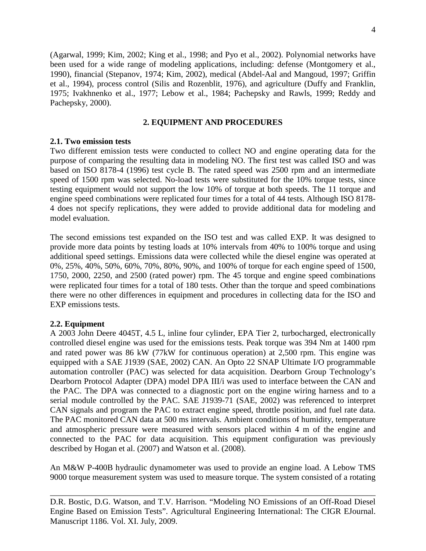(Agarwal, 1999; Kim, 2002; King et al., 1998; and Pyo et al., 2002). Polynomial networks have been used for a wide range of modeling applications, including: defense (Montgomery et al., 1990), financial (Stepanov, 1974; Kim, 2002), medical (Abdel-Aal and Mangoud, 1997; Griffin et al., 1994), process control (Silis and Rozenblit, 1976), and agriculture (Duffy and Franklin, 1975; Ivakhnenko et al., 1977; Lebow et al., 1984; Pachepsky and Rawls, 1999; Reddy and Pachepsky, 2000).

## **2. EQUIPMENT AND PROCEDURES**

## **2.1. Two emission tests**

Two different emission tests were conducted to collect NO and engine operating data for the purpose of comparing the resulting data in modeling NO. The first test was called ISO and was based on ISO 8178-4 (1996) test cycle B. The rated speed was 2500 rpm and an intermediate speed of 1500 rpm was selected. No-load tests were substituted for the 10% torque tests, since testing equipment would not support the low 10% of torque at both speeds. The 11 torque and engine speed combinations were replicated four times for a total of 44 tests. Although ISO 8178- 4 does not specify replications, they were added to provide additional data for modeling and model evaluation.

The second emissions test expanded on the ISO test and was called EXP. It was designed to provide more data points by testing loads at 10% intervals from 40% to 100% torque and using additional speed settings. Emissions data were collected while the diesel engine was operated at 0%, 25%, 40%, 50%, 60%, 70%, 80%, 90%, and 100% of torque for each engine speed of 1500, 1750, 2000, 2250, and 2500 (rated power) rpm. The 45 torque and engine speed combinations were replicated four times for a total of 180 tests. Other than the torque and speed combinations there were no other differences in equipment and procedures in collecting data for the ISO and EXP emissions tests.

## **2.2. Equipment**

A 2003 John Deere 4045T, 4.5 L, inline four cylinder, EPA Tier 2, turbocharged, electronically controlled diesel engine was used for the emissions tests. Peak torque was 394 Nm at 1400 rpm and rated power was 86 kW (77kW for continuous operation) at 2,500 rpm. This engine was equipped with a SAE J1939 (SAE, 2002) CAN. An Opto 22 SNAP Ultimate I/O programmable automation controller (PAC) was selected for data acquisition. Dearborn Group Technology's Dearborn Protocol Adapter (DPA) model DPA III/i was used to interface between the CAN and the PAC. The DPA was connected to a diagnostic port on the engine wiring harness and to a serial module controlled by the PAC. SAE J1939-71 (SAE, 2002) was referenced to interpret CAN signals and program the PAC to extract engine speed, throttle position, and fuel rate data. The PAC monitored CAN data at 500 ms intervals. Ambient conditions of humidity, temperature and atmospheric pressure were measured with sensors placed within 4 m of the engine and connected to the PAC for data acquisition. This equipment configuration was previously described by Hogan et al. (2007) and Watson et al. (2008).

An M&W P-400B hydraulic dynamometer was used to provide an engine load. A Lebow TMS 9000 torque measurement system was used to measure torque. The system consisted of a rotating

D.R. Bostic, D.G. Watson, and T.V. Harrison. "Modeling NO Emissions of an Off-Road Diesel Engine Based on Emission Tests". Agricultural Engineering International: The CIGR EJournal. Manuscript 1186. Vol. XI. July, 2009.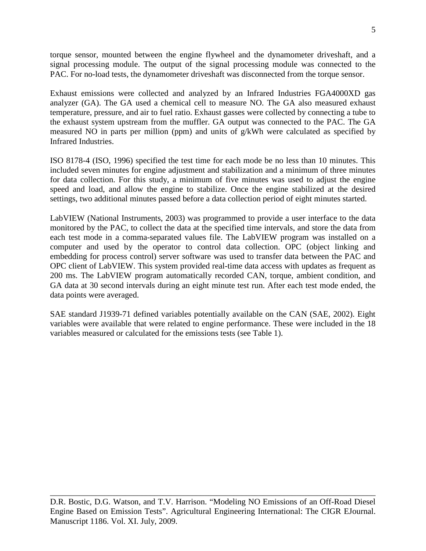5

torque sensor, mounted between the engine flywheel and the dynamometer driveshaft, and a signal processing module. The output of the signal processing module was connected to the PAC. For no-load tests, the dynamometer driveshaft was disconnected from the torque sensor.

Exhaust emissions were collected and analyzed by an Infrared Industries FGA4000XD gas analyzer (GA). The GA used a chemical cell to measure NO. The GA also measured exhaust temperature, pressure, and air to fuel ratio. Exhaust gasses were collected by connecting a tube to the exhaust system upstream from the muffler. GA output was connected to the PAC. The GA measured NO in parts per million (ppm) and units of g/kWh were calculated as specified by Infrared Industries.

ISO 8178-4 (ISO, 1996) specified the test time for each mode be no less than 10 minutes. This included seven minutes for engine adjustment and stabilization and a minimum of three minutes for data collection. For this study, a minimum of five minutes was used to adjust the engine speed and load, and allow the engine to stabilize. Once the engine stabilized at the desired settings, two additional minutes passed before a data collection period of eight minutes started.

LabVIEW (National Instruments, 2003) was programmed to provide a user interface to the data monitored by the PAC, to collect the data at the specified time intervals, and store the data from each test mode in a comma-separated values file. The LabVIEW program was installed on a computer and used by the operator to control data collection. OPC (object linking and embedding for process control) server software was used to transfer data between the PAC and OPC client of LabVIEW. This system provided real-time data access with updates as frequent as 200 ms. The LabVIEW program automatically recorded CAN, torque, ambient condition, and GA data at 30 second intervals during an eight minute test run. After each test mode ended, the data points were averaged.

SAE standard J1939-71 defined variables potentially available on the CAN (SAE, 2002). Eight variables were available that were related to engine performance. These were included in the 18 variables measured or calculated for the emissions tests (see Table 1).

D.R. Bostic, D.G. Watson, and T.V. Harrison. "Modeling NO Emissions of an Off-Road Diesel Engine Based on Emission Tests". Agricultural Engineering International: The CIGR EJournal. Manuscript 1186. Vol. XI. July, 2009.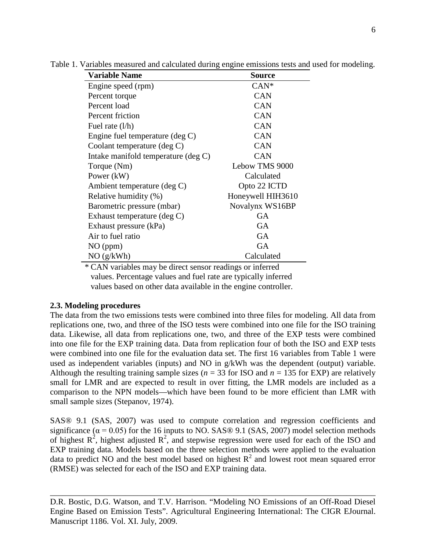| <b>Variable Name</b>                      | Source            |
|-------------------------------------------|-------------------|
| Engine speed (rpm)                        | $CAN^*$           |
| Percent torque                            | <b>CAN</b>        |
| Percent load                              | <b>CAN</b>        |
| Percent friction                          | <b>CAN</b>        |
| Fuel rate $(l/h)$                         | <b>CAN</b>        |
| Engine fuel temperature $(\text{deg } C)$ | <b>CAN</b>        |
| Coolant temperature (deg C)               | <b>CAN</b>        |
| Intake manifold temperature (deg C)       | <b>CAN</b>        |
| Torque (Nm)                               | Lebow TMS 9000    |
| Power (kW)                                | Calculated        |
| Ambient temperature (deg C)               | Opto 22 ICTD      |
| Relative humidity (%)                     | Honeywell HIH3610 |
| Barometric pressure (mbar)                | Novalynx WS16BP   |
| Exhaust temperature $(\text{deg } C)$     | <b>GA</b>         |
| Exhaust pressure (kPa)                    | <b>GA</b>         |
| Air to fuel ratio                         | GA                |
| $NO$ (ppm)                                | <b>GA</b>         |
| NO(g/kWh)                                 | Calculated        |

Table 1. Variables measured and calculated during engine emissions tests and used for modeling.

\* CAN variables may be direct sensor readings or inferred values. Percentage values and fuel rate are typically inferred values based on other data available in the engine controller.

### **2.3. Modeling procedures**

The data from the two emissions tests were combined into three files for modeling. All data from replications one, two, and three of the ISO tests were combined into one file for the ISO training data. Likewise, all data from replications one, two, and three of the EXP tests were combined into one file for the EXP training data. Data from replication four of both the ISO and EXP tests were combined into one file for the evaluation data set. The first 16 variables from Table 1 were used as independent variables (inputs) and NO in g/kWh was the dependent (output) variable. Although the resulting training sample sizes ( $n = 33$  for ISO and  $n = 135$  for EXP) are relatively small for LMR and are expected to result in over fitting, the LMR models are included as a comparison to the NPN models—which have been found to be more efficient than LMR with small sample sizes (Stepanov, 1974).

SAS® 9.1 (SAS, 2007) was used to compute correlation and regression coefficients and significance ( $\alpha$  = 0.05) for the 16 inputs to NO. SAS® 9.1 (SAS, 2007) model selection methods of highest  $R^2$ , highest adjusted  $R^2$ , and stepwise regression were used for each of the ISO and EXP training data. Models based on the three selection methods were applied to the evaluation data to predict NO and the best model based on highest  $R^2$  and lowest root mean squared error (RMSE) was selected for each of the ISO and EXP training data.

D.R. Bostic, D.G. Watson, and T.V. Harrison. "Modeling NO Emissions of an Off-Road Diesel Engine Based on Emission Tests". Agricultural Engineering International: The CIGR EJournal. Manuscript 1186. Vol. XI. July, 2009.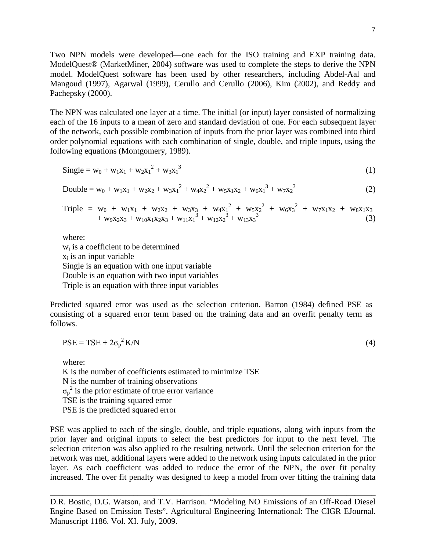Two NPN models were developed—one each for the ISO training and EXP training data. ModelQuest® (MarketMiner, 2004) software was used to complete the steps to derive the NPN model. ModelQuest software has been used by other researchers, including Abdel-Aal and Mangoud (1997), Agarwal (1999), Cerullo and Cerullo (2006), Kim (2002), and Reddy and Pachepsky (2000).

The NPN was calculated one layer at a time. The initial (or input) layer consisted of normalizing each of the 16 inputs to a mean of zero and standard deviation of one. For each subsequent layer of the network, each possible combination of inputs from the prior layer was combined into third order polynomial equations with each combination of single, double, and triple inputs, using the following equations (Montgomery, 1989).

$$
Single = w_0 + w_1 x_1 + w_2 x_1^2 + w_3 x_1^3
$$
 (1)

Double = 
$$
w_0 + w_1x_1 + w_2x_2 + w_3x_1^2 + w_4x_2^2 + w_5x_1x_2 + w_6x_1^3 + w_7x_2^3
$$
 (2)

Triple = 
$$
w_0 + w_1x_1 + w_2x_2 + w_3x_3 + w_4x_1^2 + w_5x_2^2 + w_6x_3^2 + w_7x_1x_2 + w_8x_1x_3 + w_9x_2x_3 + w_{10}x_1x_2x_3 + w_{11}x_1^3 + w_{12}x_2^3 + w_{13}x_3^3
$$
 (3)

where:

 $w<sub>i</sub>$  is a coefficient to be determined  $x_i$  is an input variable Single is an equation with one input variable Double is an equation with two input variables Triple is an equation with three input variables

Predicted squared error was used as the selection criterion. Barron (1984) defined PSE as consisting of a squared error term based on the training data and an overfit penalty term as follows.

$$
PSE = TSE + 2\sigma_p^2 K/N
$$
 (4)

where:

K is the number of coefficients estimated to minimize TSE

N is the number of training observations

 $\sigma_p^2$  is the prior estimate of true error variance

TSE is the training squared error

PSE is the predicted squared error

PSE was applied to each of the single, double, and triple equations, along with inputs from the prior layer and original inputs to select the best predictors for input to the next level. The selection criterion was also applied to the resulting network. Until the selection criterion for the network was met, additional layers were added to the network using inputs calculated in the prior layer. As each coefficient was added to reduce the error of the NPN, the over fit penalty increased. The over fit penalty was designed to keep a model from over fitting the training data

D.R. Bostic, D.G. Watson, and T.V. Harrison. "Modeling NO Emissions of an Off-Road Diesel Engine Based on Emission Tests". Agricultural Engineering International: The CIGR EJournal. Manuscript 1186. Vol. XI. July, 2009.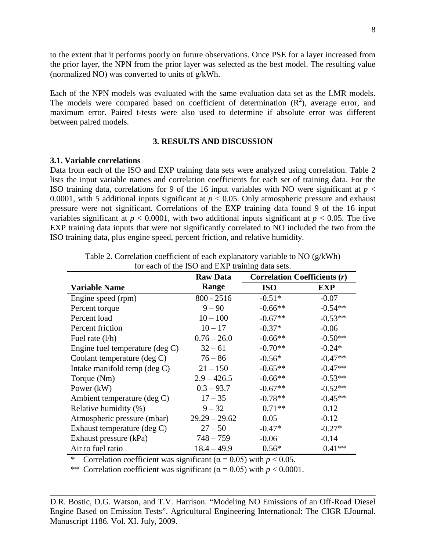to the extent that it performs poorly on future observations. Once PSE for a layer increased from the prior layer, the NPN from the prior layer was selected as the best model. The resulting value (normalized NO) was converted to units of g/kWh.

Each of the NPN models was evaluated with the same evaluation data set as the LMR models. The models were compared based on coefficient of determination  $(R^2)$ , average error, and maximum error. Paired t-tests were also used to determine if absolute error was different between paired models.

### **3. RESULTS AND DISCUSSION**

#### **3.1. Variable correlations**

Data from each of the ISO and EXP training data sets were analyzed using correlation. Table 2 lists the input variable names and correlation coefficients for each set of training data. For the ISO training data, correlations for 9 of the 16 input variables with NO were significant at  $p <$ 0.0001, with 5 additional inputs significant at  $p < 0.05$ . Only atmospheric pressure and exhaust pressure were not significant. Correlations of the EXP training data found 9 of the 16 input variables significant at  $p < 0.0001$ , with two additional inputs significant at  $p < 0.05$ . The five EXP training data inputs that were not significantly correlated to NO included the two from the ISO training data, plus engine speed, percent friction, and relative humidity.

| TOT CACH OF the HOO and EZXI THAIHING GATA SCIS. |                 |                                     |            |  |  |  |  |
|--------------------------------------------------|-----------------|-------------------------------------|------------|--|--|--|--|
|                                                  | <b>Raw Data</b> | <b>Correlation Coefficients (r)</b> |            |  |  |  |  |
| <b>Variable Name</b>                             | Range           | <b>ISO</b>                          | <b>EXP</b> |  |  |  |  |
| Engine speed (rpm)                               | $800 - 2516$    | $-0.51*$                            | $-0.07$    |  |  |  |  |
| Percent torque                                   | $9 - 90$        | $-0.66**$                           | $-0.54**$  |  |  |  |  |
| Percent load                                     | $10 - 100$      | $-0.67**$                           | $-0.53**$  |  |  |  |  |
| Percent friction                                 | $10 - 17$       | $-0.37*$                            | $-0.06$    |  |  |  |  |
| Fuel rate $(l/h)$                                | $0.76 - 26.0$   | $-0.66**$                           | $-0.50**$  |  |  |  |  |
| Engine fuel temperature $(\deg C)$               | $32 - 61$       | $-0.70**$                           | $-0.24*$   |  |  |  |  |
| Coolant temperature (deg C)                      | $76 - 86$       | $-0.56*$                            | $-0.47**$  |  |  |  |  |
| Intake manifold temp $(\text{deg } C)$           | $21 - 150$      | $-0.65**$                           | $-0.47**$  |  |  |  |  |
| Torque (Nm)                                      | $2.9 - 426.5$   | $-0.66**$                           | $-0.53**$  |  |  |  |  |
| Power (kW)                                       | $0.3 - 93.7$    | $-0.67**$                           | $-0.52**$  |  |  |  |  |
| Ambient temperature (deg C)                      | $17 - 35$       | $-0.78**$                           | $-0.45**$  |  |  |  |  |
| Relative humidity (%)                            | $9 - 32$        | $0.71**$                            | 0.12       |  |  |  |  |
| Atmospheric pressure (mbar)                      | $29.29 - 29.62$ | 0.05                                | $-0.12$    |  |  |  |  |
| Exhaust temperature (deg C)                      | $27 - 50$       | $-0.47*$                            | $-0.27*$   |  |  |  |  |
| Exhaust pressure (kPa)                           | $748 - 759$     | $-0.06$                             | $-0.14$    |  |  |  |  |
| Air to fuel ratio                                | $18.4 - 49.9$   | $0.56*$                             | $0.41**$   |  |  |  |  |

Table 2. Correlation coefficient of each explanatory variable to NO (g/kWh) for each of the ISO and EXP training data sets.

\* Correlation coefficient was significant  $(\alpha = 0.05)$  with  $p < 0.05$ .

\*\* Correlation coefficient was significant  $(\alpha = 0.05)$  with  $p < 0.0001$ .

D.R. Bostic, D.G. Watson, and T.V. Harrison. "Modeling NO Emissions of an Off-Road Diesel Engine Based on Emission Tests". Agricultural Engineering International: The CIGR EJournal. Manuscript 1186. Vol. XI. July, 2009.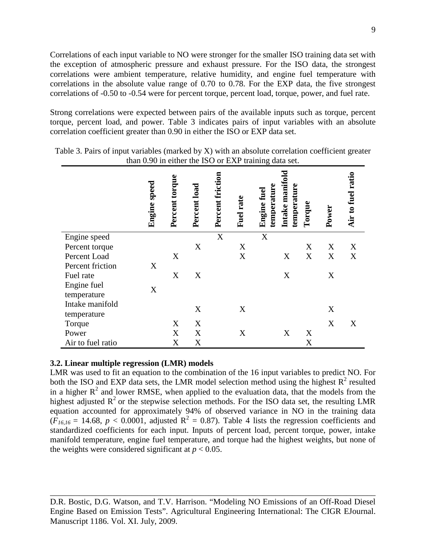Correlations of each input variable to NO were stronger for the smaller ISO training data set with the exception of atmospheric pressure and exhaust pressure. For the ISO data, the strongest correlations were ambient temperature, relative humidity, and engine fuel temperature with correlations in the absolute value range of 0.70 to 0.78. For the EXP data, the five strongest correlations of -0.50 to -0.54 were for percent torque, percent load, torque, power, and fuel rate.

Strong correlations were expected between pairs of the available inputs such as torque, percent torque, percent load, and power. Table 3 indicates pairs of input variables with an absolute correlation coefficient greater than 0.90 in either the ISO or EXP data set.

|                            | <b>Engine</b> speed | Percent torque | Percent load | Percent friction | Fuel rate | Intake manifold<br>temperature<br>temperature<br><b>Engine fuel</b> | Torque | Power | Air to fuel ratio |
|----------------------------|---------------------|----------------|--------------|------------------|-----------|---------------------------------------------------------------------|--------|-------|-------------------|
|                            |                     |                |              |                  |           |                                                                     |        |       |                   |
| Engine speed               |                     |                |              | X                |           | $\mathbf X$                                                         |        |       |                   |
| Percent torque             |                     |                | X            |                  | X         |                                                                     | X      | X     | X                 |
| Percent Load               |                     | X              |              |                  | X         | X                                                                   | X      | X     | X                 |
| Percent friction           | X                   |                |              |                  |           |                                                                     |        |       |                   |
| Fuel rate                  |                     | X              | X            |                  |           | X                                                                   |        | X     |                   |
| Engine fuel<br>temperature | X                   |                |              |                  |           |                                                                     |        |       |                   |
| Intake manifold            |                     |                |              |                  |           |                                                                     |        |       |                   |
| temperature                |                     |                | X            |                  | X         |                                                                     |        | X     |                   |
| Torque                     |                     | X              | X            |                  |           |                                                                     |        | X     | X                 |
| Power                      |                     | X              | X            |                  | X         | X                                                                   | X      |       |                   |
| Air to fuel ratio          |                     | X              | X            |                  |           |                                                                     | X      |       |                   |
|                            |                     |                |              |                  |           |                                                                     |        |       |                   |

Table 3. Pairs of input variables (marked by X) with an absolute correlation coefficient greater than 0.90 in either the ISO or EXP training data set.

### **3.2. Linear multiple regression (LMR) models**

LMR was used to fit an equation to the combination of the 16 input variables to predict NO. For both the ISO and EXP data sets, the LMR model selection method using the highest  $R^2$  resulted in a higher  $R^2$  and lower RMSE, when applied to the evaluation data, that the models from the highest adjusted  $R^2$  or the stepwise selection methods. For the ISO data set, the resulting LMR equation accounted for approximately 94% of observed variance in NO in the training data  $(F_{16,16} = 14.68, p < 0.0001,$  adjusted  $R^2 = 0.87$ ). Table 4 lists the regression coefficients and standardized coefficients for each input. Inputs of percent load, percent torque, power, intake manifold temperature, engine fuel temperature, and torque had the highest weights, but none of the weights were considered significant at  $p < 0.05$ .

D.R. Bostic, D.G. Watson, and T.V. Harrison. "Modeling NO Emissions of an Off-Road Diesel Engine Based on Emission Tests". Agricultural Engineering International: The CIGR EJournal. Manuscript 1186. Vol. XI. July, 2009.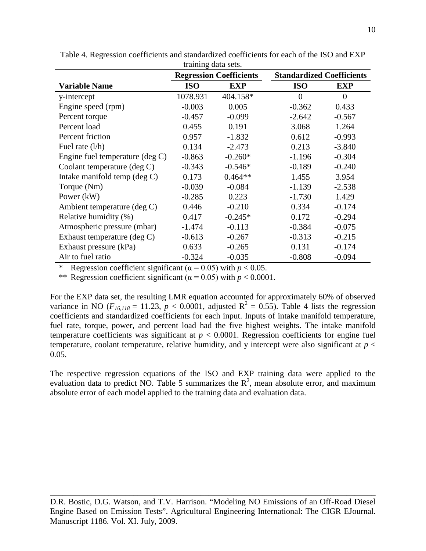|                                 | u anning uata scus.            |            |                                  |            |  |
|---------------------------------|--------------------------------|------------|----------------------------------|------------|--|
|                                 | <b>Regression Coefficients</b> |            | <b>Standardized Coefficients</b> |            |  |
| <b>Variable Name</b>            | <b>ISO</b>                     | <b>EXP</b> | <b>ISO</b>                       | <b>EXP</b> |  |
| y-intercept                     | 1078.931                       | 404.158*   | $\overline{0}$                   | $\theta$   |  |
| Engine speed (rpm)              | $-0.003$                       | 0.005      | $-0.362$                         | 0.433      |  |
| Percent torque                  | $-0.457$                       | $-0.099$   | $-2.642$                         | $-0.567$   |  |
| Percent load                    | 0.455                          | 0.191      | 3.068                            | 1.264      |  |
| Percent friction                | 0.957                          | $-1.832$   | 0.612                            | $-0.993$   |  |
| Fuel rate $(l/h)$               | 0.134                          | $-2.473$   | 0.213                            | $-3.840$   |  |
| Engine fuel temperature (deg C) | $-0.863$                       | $-0.260*$  | $-1.196$                         | $-0.304$   |  |
| Coolant temperature (deg C)     | $-0.343$                       | $-0.546*$  | $-0.189$                         | $-0.240$   |  |
| Intake manifold temp (deg C)    | 0.173                          | $0.464**$  | 1.455                            | 3.954      |  |
| Torque (Nm)                     | $-0.039$                       | $-0.084$   | $-1.139$                         | $-2.538$   |  |
| Power $(kW)$                    | $-0.285$                       | 0.223      | $-1.730$                         | 1.429      |  |
| Ambient temperature (deg C)     | 0.446                          | $-0.210$   | 0.334                            | $-0.174$   |  |
| Relative humidity (%)           | 0.417                          | $-0.245*$  | 0.172                            | $-0.294$   |  |
| Atmospheric pressure (mbar)     | $-1.474$                       | $-0.113$   | $-0.384$                         | $-0.075$   |  |
| Exhaust temperature (deg C)     | $-0.613$                       | $-0.267$   | $-0.313$                         | $-0.215$   |  |
| Exhaust pressure (kPa)          | 0.633                          | $-0.265$   | 0.131                            | $-0.174$   |  |
| Air to fuel ratio               | $-0.324$                       | $-0.035$   | $-0.808$                         | $-0.094$   |  |

Table 4. Regression coefficients and standardized coefficients for each of the ISO and EXP training data sets.

Regression coefficient significant ( $\alpha$  = 0.05) with *p* < 0.05.

\*\* Regression coefficient significant  $(\alpha = 0.05)$  with  $p < 0.0001$ .

For the EXP data set, the resulting LMR equation accounted for approximately 60% of observed variance in NO ( $F_{16,118} = 11.23$ ,  $p < 0.0001$ , adjusted  $R^2 = 0.55$ ). Table 4 lists the regression coefficients and standardized coefficients for each input. Inputs of intake manifold temperature, fuel rate, torque, power, and percent load had the five highest weights. The intake manifold temperature coefficients was significant at  $p < 0.0001$ . Regression coefficients for engine fuel temperature, coolant temperature, relative humidity, and y intercept were also significant at  $p <$ 0.05.

The respective regression equations of the ISO and EXP training data were applied to the evaluation data to predict NO. Table 5 summarizes the  $\mathbb{R}^2$ , mean absolute error, and maximum absolute error of each model applied to the training data and evaluation data.

D.R. Bostic, D.G. Watson, and T.V. Harrison. "Modeling NO Emissions of an Off-Road Diesel Engine Based on Emission Tests". Agricultural Engineering International: The CIGR EJournal. Manuscript 1186. Vol. XI. July, 2009.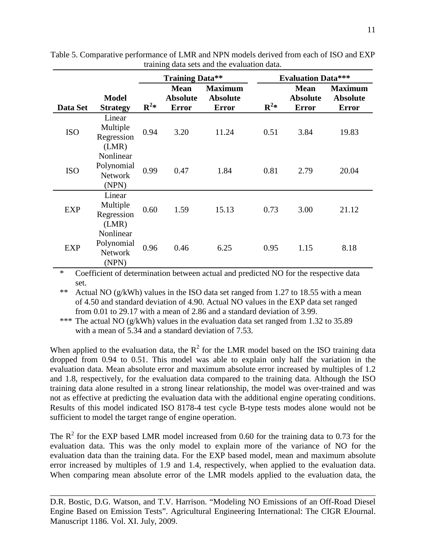|            |                                                    | <b>Training Data**</b> |                                                |                                                   | <b>Evaluation Data***</b> |                                                |                                                   |  |
|------------|----------------------------------------------------|------------------------|------------------------------------------------|---------------------------------------------------|---------------------------|------------------------------------------------|---------------------------------------------------|--|
| Data Set   | <b>Model</b><br><b>Strategy</b>                    | $\mathbf{R}^2*$        | <b>Mean</b><br><b>Absolute</b><br><b>Error</b> | <b>Maximum</b><br><b>Absolute</b><br><b>Error</b> | $\mathbf{R}^2*$           | <b>Mean</b><br><b>Absolute</b><br><b>Error</b> | <b>Maximum</b><br><b>Absolute</b><br><b>Error</b> |  |
| <b>ISO</b> | Linear<br>Multiple<br>Regression<br>(LMR)          | 0.94                   | 3.20                                           | 11.24                                             | 0.51                      | 3.84                                           | 19.83                                             |  |
| <b>ISO</b> | Nonlinear<br>Polynomial<br><b>Network</b><br>(NPN) | 0.99                   | 0.47                                           | 1.84                                              | 0.81                      | 2.79                                           | 20.04                                             |  |
| <b>EXP</b> | Linear<br>Multiple<br>Regression<br>(LMR)          | 0.60                   | 1.59                                           | 15.13                                             | 0.73                      | 3.00                                           | 21.12                                             |  |
| <b>EXP</b> | Nonlinear<br>Polynomial<br><b>Network</b><br>(NPN) | 0.96                   | 0.46                                           | 6.25                                              | 0.95                      | 1.15                                           | 8.18                                              |  |

Table 5. Comparative performance of LMR and NPN models derived from each of ISO and EXP training data sets and the evaluation data.

\* Coefficient of determination between actual and predicted NO for the respective data set.

\*\* Actual NO (g/kWh) values in the ISO data set ranged from 1.27 to 18.55 with a mean of 4.50 and standard deviation of 4.90. Actual NO values in the EXP data set ranged from 0.01 to 29.17 with a mean of 2.86 and a standard deviation of 3.99.

\*\*\* The actual NO (g/kWh) values in the evaluation data set ranged from 1.32 to 35.89 with a mean of 5.34 and a standard deviation of 7.53.

When applied to the evaluation data, the  $R^2$  for the LMR model based on the ISO training data dropped from 0.94 to 0.51. This model was able to explain only half the variation in the evaluation data. Mean absolute error and maximum absolute error increased by multiples of 1.2 and 1.8, respectively, for the evaluation data compared to the training data. Although the ISO training data alone resulted in a strong linear relationship, the model was over-trained and was not as effective at predicting the evaluation data with the additional engine operating conditions. Results of this model indicated ISO 8178-4 test cycle B-type tests modes alone would not be sufficient to model the target range of engine operation.

The  $R^2$  for the EXP based LMR model increased from 0.60 for the training data to 0.73 for the evaluation data. This was the only model to explain more of the variance of NO for the evaluation data than the training data. For the EXP based model, mean and maximum absolute error increased by multiples of 1.9 and 1.4, respectively, when applied to the evaluation data. When comparing mean absolute error of the LMR models applied to the evaluation data, the

D.R. Bostic, D.G. Watson, and T.V. Harrison. "Modeling NO Emissions of an Off-Road Diesel Engine Based on Emission Tests". Agricultural Engineering International: The CIGR EJournal. Manuscript 1186. Vol. XI. July, 2009.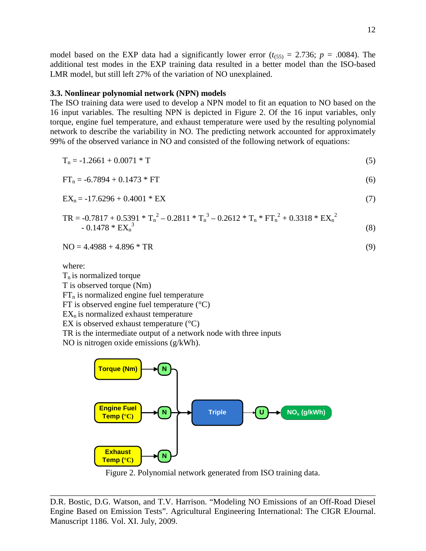model based on the EXP data had a significantly lower error  $(t_{(55)} = 2.736; p = .0084)$ . The additional test modes in the EXP training data resulted in a better model than the ISO-based LMR model, but still left 27% of the variation of NO unexplained.

#### **3.3. Nonlinear polynomial network (NPN) models**

The ISO training data were used to develop a NPN model to fit an equation to NO based on the 16 input variables. The resulting NPN is depicted in Figure 2. Of the 16 input variables, only torque, engine fuel temperature, and exhaust temperature were used by the resulting polynomial network to describe the variability in NO. The predicting network accounted for approximately 99% of the observed variance in NO and consisted of the following network of equations:

$$
T_n = -1.2661 + 0.0071 * T \tag{5}
$$

$$
FT_n = -6.7894 + 0.1473 * FT
$$
 (6)

$$
EX_n = -17.6296 + 0.4001 * EX
$$
 (7)

$$
TR = -0.7817 + 0.5391 * T_n^2 - 0.2811 * T_n^3 - 0.2612 * T_n * FT_n^2 + 0.3318 * EX_n^2
$$
  
- 0.1478 \* EX\_n<sup>3</sup> (8)

$$
NO = 4.4988 + 4.896 * TR
$$
 (9)

where:

 $T_n$  is normalized torque

T is observed torque (Nm)

 $FT<sub>n</sub>$  is normalized engine fuel temperature

FT is observed engine fuel temperature  $(^{\circ}C)$ 

 $EX_n$  is normalized exhaust temperature

EX is observed exhaust temperature  $(^{\circ}C)$ 

TR is the intermediate output of a network node with three inputs

NO is nitrogen oxide emissions (g/kWh).





D.R. Bostic, D.G. Watson, and T.V. Harrison. "Modeling NO Emissions of an Off-Road Diesel Engine Based on Emission Tests". Agricultural Engineering International: The CIGR EJournal. Manuscript 1186. Vol. XI. July, 2009.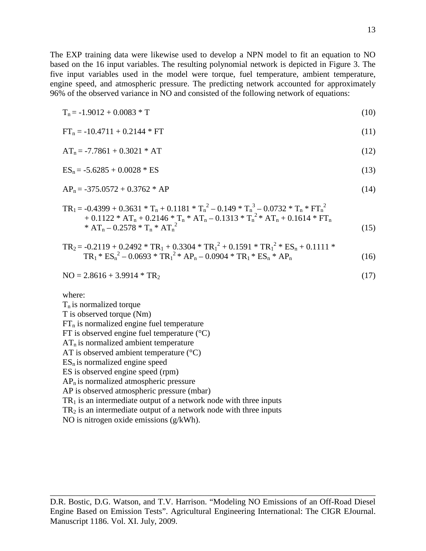The EXP training data were likewise used to develop a NPN model to fit an equation to NO based on the 16 input variables. The resulting polynomial network is depicted in Figure 3. The five input variables used in the model were torque, fuel temperature, ambient temperature, engine speed, and atmospheric pressure. The predicting network accounted for approximately 96% of the observed variance in NO and consisted of the following network of equations:

$$
T_n = -1.9012 + 0.0083 * T
$$
\n
$$
FT_n = -10.4711 + 0.2144 * FT
$$
\n
$$
AT_n = -7.7861 + 0.3021 * AT
$$
\n
$$
ES_n = -5.6285 + 0.0028 * ES
$$
\n
$$
AP_n = -375.0572 + 0.3762 * AP
$$
\n
$$
TR_1 = -0.4399 + 0.3631 * T_n + 0.1181 * T_n2 - 0.149 * T_n3 - 0.0732 * T_n * FT_n2 + 0.1122 * AT_n + 0.2146 * T_n * AT_n - 0.1313 * T_n2 * AT_n + 0.1614 * FT_n * AT_n - 0.2578 * T_n * AT_n2
$$
\n
$$
TR_2 = -0.2119 + 0.2492 * TR_1 + 0.3304 * TR_12 + 0.1591 * TR_12 * ES_n + 0.1111 * TR_1 * ES_n2 - 0.0693 * TR_12 * AP_n - 0.0904 * TR_1 * ES_n * AP_n
$$
\n
$$
NO = 2.8616 + 3.9914 * TR_2
$$
\nwhere:  
\n
$$
T_n
$$
 is normalized torque  
\nT is observed torque (Nm)

 $FT<sub>n</sub>$  is normalized engine fuel temperature FT is observed engine fuel temperature  $(^{\circ}C)$  $AT_n$  is normalized ambient temperature AT is observed ambient temperature  $(^{\circ}C)$  $ES_n$  is normalized engine speed ES is observed engine speed (rpm)  $AP<sub>n</sub>$  is normalized atmospheric pressure AP is observed atmospheric pressure (mbar)  $TR<sub>1</sub>$  is an intermediate output of a network node with three inputs

 $TR<sub>2</sub>$  is an intermediate output of a network node with three inputs

NO is nitrogen oxide emissions (g/kWh).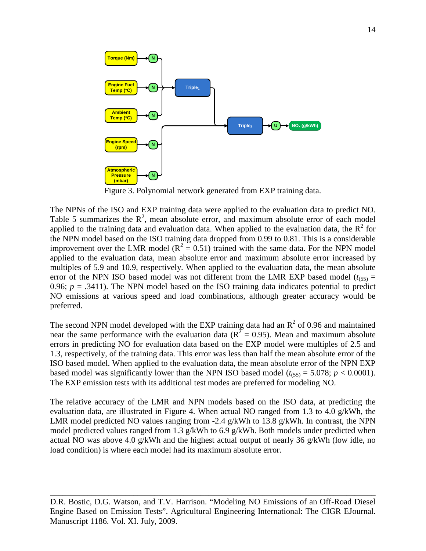

The NPNs of the ISO and EXP training data were applied to the evaluation data to predict NO. Table 5 summarizes the  $R^2$ , mean absolute error, and maximum absolute error of each model applied to the training data and evaluation data. When applied to the evaluation data, the  $R^2$  for the NPN model based on the ISO training data dropped from 0.99 to 0.81. This is a considerable improvement over the LMR model ( $R^2 = 0.51$ ) trained with the same data. For the NPN model applied to the evaluation data, mean absolute error and maximum absolute error increased by multiples of 5.9 and 10.9, respectively. When applied to the evaluation data, the mean absolute error of the NPN ISO based model was not different from the LMR EXP based model ( $t$ <sub>(55)</sub> = 0.96;  $p = .3411$ ). The NPN model based on the ISO training data indicates potential to predict NO emissions at various speed and load combinations, although greater accuracy would be preferred.

The second NPN model developed with the EXP training data had an  $R^2$  of 0.96 and maintained near the same performance with the evaluation data ( $R^2 = 0.95$ ). Mean and maximum absolute errors in predicting NO for evaluation data based on the EXP model were multiples of 2.5 and 1.3, respectively, of the training data. This error was less than half the mean absolute error of the ISO based model. When applied to the evaluation data, the mean absolute error of the NPN EXP based model was significantly lower than the NPN ISO based model  $(t_{(55)} = 5.078; p < 0.0001)$ . The EXP emission tests with its additional test modes are preferred for modeling NO.

The relative accuracy of the LMR and NPN models based on the ISO data, at predicting the evaluation data, are illustrated in Figure 4. When actual NO ranged from 1.3 to 4.0 g/kWh, the LMR model predicted NO values ranging from -2.4 g/kWh to 13.8 g/kWh. In contrast, the NPN model predicted values ranged from 1.3  $g/kWh$  to 6.9  $g/kWh$ . Both models under predicted when actual NO was above 4.0 g/kWh and the highest actual output of nearly 36 g/kWh (low idle, no load condition) is where each model had its maximum absolute error.

D.R. Bostic, D.G. Watson, and T.V. Harrison. "Modeling NO Emissions of an Off-Road Diesel Engine Based on Emission Tests". Agricultural Engineering International: The CIGR EJournal. Manuscript 1186. Vol. XI. July, 2009.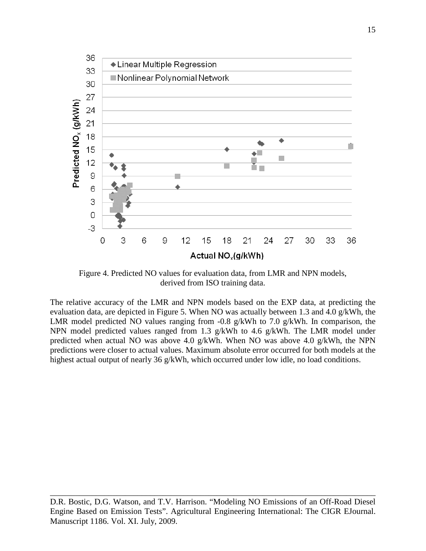

Figure 4. Predicted NO values for evaluation data, from LMR and NPN models, derived from ISO training data.

The relative accuracy of the LMR and NPN models based on the EXP data, at predicting the evaluation data, are depicted in Figure 5. When NO was actually between 1.3 and 4.0 g/kWh, the LMR model predicted NO values ranging from -0.8 g/kWh to 7.0 g/kWh. In comparison, the NPN model predicted values ranged from 1.3 g/kWh to 4.6 g/kWh. The LMR model under predicted when actual NO was above 4.0 g/kWh. When NO was above 4.0 g/kWh, the NPN predictions were closer to actual values. Maximum absolute error occurred for both models at the highest actual output of nearly 36 g/kWh, which occurred under low idle, no load conditions.

\_\_\_\_\_\_\_\_\_\_\_\_\_\_\_\_\_\_\_\_\_\_\_\_\_\_\_\_\_\_\_\_\_\_\_\_\_\_\_\_\_\_\_\_\_\_\_\_\_\_\_\_\_\_\_\_\_\_\_\_\_\_\_\_\_\_\_\_\_\_\_\_\_\_\_\_\_\_ D.R. Bostic, D.G. Watson, and T.V. Harrison. "Modeling NO Emissions of an Off-Road Diesel Engine Based on Emission Tests". Agricultural Engineering International: The CIGR EJournal. Manuscript 1186. Vol. XI. July, 2009.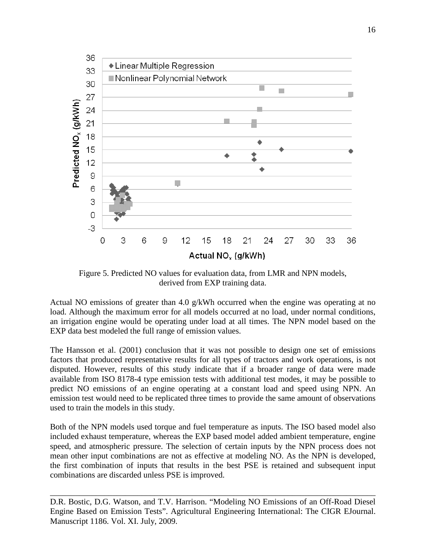![](_page_15_Figure_0.jpeg)

Figure 5. Predicted NO values for evaluation data, from LMR and NPN models, derived from EXP training data.

Actual NO emissions of greater than 4.0 g/kWh occurred when the engine was operating at no load. Although the maximum error for all models occurred at no load, under normal conditions, an irrigation engine would be operating under load at all times. The NPN model based on the EXP data best modeled the full range of emission values.

The Hansson et al. (2001) conclusion that it was not possible to design one set of emissions factors that produced representative results for all types of tractors and work operations, is not disputed. However, results of this study indicate that if a broader range of data were made available from ISO 8178-4 type emission tests with additional test modes, it may be possible to predict NO emissions of an engine operating at a constant load and speed using NPN. An emission test would need to be replicated three times to provide the same amount of observations used to train the models in this study.

Both of the NPN models used torque and fuel temperature as inputs. The ISO based model also included exhaust temperature, whereas the EXP based model added ambient temperature, engine speed, and atmospheric pressure. The selection of certain inputs by the NPN process does not mean other input combinations are not as effective at modeling NO. As the NPN is developed, the first combination of inputs that results in the best PSE is retained and subsequent input combinations are discarded unless PSE is improved.

D.R. Bostic, D.G. Watson, and T.V. Harrison. "Modeling NO Emissions of an Off-Road Diesel Engine Based on Emission Tests". Agricultural Engineering International: The CIGR EJournal. Manuscript 1186. Vol. XI. July, 2009.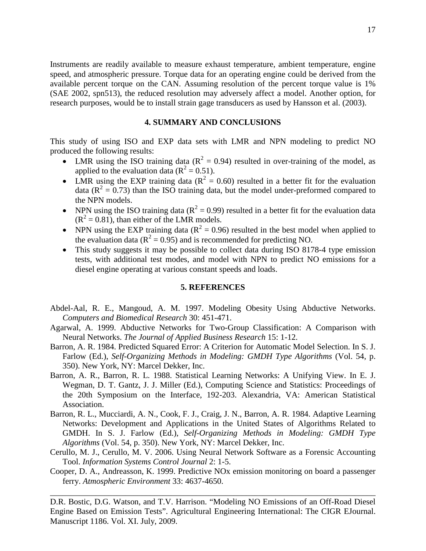Instruments are readily available to measure exhaust temperature, ambient temperature, engine speed, and atmospheric pressure. Torque data for an operating engine could be derived from the available percent torque on the CAN. Assuming resolution of the percent torque value is 1% (SAE 2002, spn513), the reduced resolution may adversely affect a model. Another option, for research purposes, would be to install strain gage transducers as used by Hansson et al. (2003).

#### **4. SUMMARY AND CONCLUSIONS**

This study of using ISO and EXP data sets with LMR and NPN modeling to predict NO produced the following results:

- LMR using the ISO training data ( $R^2 = 0.94$ ) resulted in over-training of the model, as applied to the evaluation data ( $R^2 = 0.51$ ).
- LMR using the EXP training data ( $R^2 = 0.60$ ) resulted in a better fit for the evaluation data ( $R^2 = 0.73$ ) than the ISO training data, but the model under-preformed compared to the NPN models.
- NPN using the ISO training data ( $R^2 = 0.99$ ) resulted in a better fit for the evaluation data  $(R<sup>2</sup> = 0.81)$ , than either of the LMR models.
- NPN using the EXP training data ( $R^2 = 0.96$ ) resulted in the best model when applied to the evaluation data ( $R^2 = 0.95$ ) and is recommended for predicting NO.
- This study suggests it may be possible to collect data during ISO 8178-4 type emission tests, with additional test modes, and model with NPN to predict NO emissions for a diesel engine operating at various constant speeds and loads.

#### **5. REFERENCES**

- Abdel-Aal, R. E., Mangoud, A. M. 1997. Modeling Obesity Using Abductive Networks. *Computers and Biomedical Research* 30: 451-471.
- Agarwal, A. 1999. Abductive Networks for Two-Group Classification: A Comparison with Neural Networks. *The Journal of Applied Business Research* 15: 1-12.
- Barron, A. R. 1984. Predicted Squared Error: A Criterion for Automatic Model Selection. In S. J. Farlow (Ed.), *Self-Organizing Methods in Modeling: GMDH Type Algorithms* (Vol. 54, p. 350). New York, NY: Marcel Dekker, Inc.
- Barron, A. R., Barron, R. L. 1988. Statistical Learning Networks: A Unifying View. In E. J. Wegman, D. T. Gantz, J. J. Miller (Ed.), Computing Science and Statistics: Proceedings of the 20th Symposium on the Interface, 192-203. Alexandria, VA: American Statistical Association.
- Barron, R. L., Mucciardi, A. N., Cook, F. J., Craig, J. N., Barron, A. R. 1984. Adaptive Learning Networks: Development and Applications in the United States of Algorithms Related to GMDH. In S. J. Farlow (Ed.), *Self-Organizing Methods in Modeling: GMDH Type Algorithms* (Vol. 54, p. 350). New York, NY: Marcel Dekker, Inc.
- Cerullo, M. J., Cerullo, M. V. 2006. Using Neural Network Software as a Forensic Accounting Tool. *Information Systems Control Journal* 2: 1-5.
- Cooper, D. A., Andreasson, K. 1999. Predictive NOx emission monitoring on board a passenger ferry. *Atmospheric Environment* 33: 4637-4650.

\_\_\_\_\_\_\_\_\_\_\_\_\_\_\_\_\_\_\_\_\_\_\_\_\_\_\_\_\_\_\_\_\_\_\_\_\_\_\_\_\_\_\_\_\_\_\_\_\_\_\_\_\_\_\_\_\_\_\_\_\_\_\_\_\_\_\_\_\_\_\_\_\_\_\_\_\_\_

D.R. Bostic, D.G. Watson, and T.V. Harrison. "Modeling NO Emissions of an Off-Road Diesel Engine Based on Emission Tests". Agricultural Engineering International: The CIGR EJournal. Manuscript 1186. Vol. XI. July, 2009.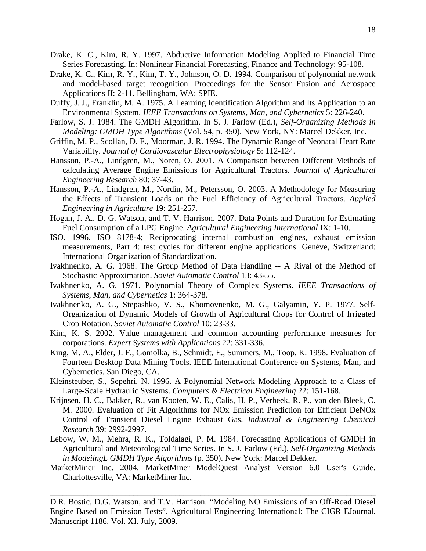- Drake, K. C., Kim, R. Y. 1997. Abductive Information Modeling Applied to Financial Time Series Forecasting. In: Nonlinear Financial Forecasting, Finance and Technology: 95-108.
- Drake, K. C., Kim, R. Y., Kim, T. Y., Johnson, O. D. 1994. Comparison of polynomial network and model-based target recognition. Proceedings for the Sensor Fusion and Aerospace Applications II: 2-11. Bellingham, WA: SPIE.
- Duffy, J. J., Franklin, M. A. 1975. A Learning Identification Algorithm and Its Application to an Environmental System. *IEEE Transactions on Systems, Man, and Cybernetics* 5: 226-240.
- Farlow, S. J. 1984. The GMDH Algorithm. In S. J. Farlow (Ed.), *Self-Organizing Methods in Modeling: GMDH Type Algorithms* (Vol. 54, p. 350). New York, NY: Marcel Dekker, Inc.
- Griffin, M. P., Scollan, D. F., Moorman, J. R. 1994. The Dynamic Range of Neonatal Heart Rate Variability. *Journal of Cardiovascular Electrophysiology* 5: 112-124.
- Hansson, P.-A., Lindgren, M., Noren, O. 2001. A Comparison between Different Methods of calculating Average Engine Emissions for Agricultural Tractors. *Journal of Agricultural Engineering Research* 80: 37-43.
- Hansson, P.-A., Lindgren, M., Nordin, M., Petersson, O. 2003. A Methodology for Measuring the Effects of Transient Loads on the Fuel Efficiency of Agricultural Tractors. *Applied Engineering in Agriculture* 19: 251-257.
- Hogan, J. A., D. G. Watson, and T. V. Harrison. 2007. Data Points and Duration for Estimating Fuel Consumption of a LPG Engine. *Agricultural Engineering International* IX: 1-10.
- ISO. 1996. ISO 8178-4; Reciprocating internal combustion engines, exhaust emission measurements, Part 4: test cycles for different engine applications. Genéve, Switzerland: International Organization of Standardization.
- Ivakhnenko, A. G. 1968. The Group Method of Data Handling -- A Rival of the Method of Stochastic Approximation. *Soviet Automatic Control* 13: 43-55.
- Ivakhnenko, A. G. 1971. Polynomial Theory of Complex Systems. *IEEE Transactions of Systems, Man, and Cybernetics* 1: 364-378.
- Ivakhnenko, A. G., Stepashko, V. S., Khomovnenko, M. G., Galyamin, Y. P. 1977. Self-Organization of Dynamic Models of Growth of Agricultural Crops for Control of Irrigated Crop Rotation. *Soviet Automatic Control* 10: 23-33.
- Kim, K. S. 2002. Value management and common accounting performance measures for corporations. *Expert Systems with Applications* 22: 331-336.
- King, M. A., Elder, J. F., Gomolka, B., Schmidt, E., Summers, M., Toop, K. 1998. Evaluation of Fourteen Desktop Data Mining Tools. IEEE International Conference on Systems, Man, and Cybernetics. San Diego, CA.
- Kleinsteuber, S., Sepehri, N. 1996. A Polynomial Network Modeling Approach to a Class of Large-Scale Hydraulic Systems. *Computers & Electrical Engineering* 22: 151-168.
- Krijnsen, H. C., Bakker, R., van Kooten, W. E., Calis, H. P., Verbeek, R. P., van den Bleek, C. M. 2000. Evaluation of Fit Algorithms for NOx Emission Prediction for Efficient DeNOx Control of Transient Diesel Engine Exhaust Gas. *Industrial & Engineering Chemical Research* 39: 2992-2997.
- Lebow, W. M., Mehra, R. K., Toldalagi, P. M. 1984. Forecasting Applications of GMDH in Agricultural and Meteorological Time Series. In S. J. Farlow (Ed.), *Self-Organizing Methods in ModeilngL GMDH Type Algorithms* (p. 350). New York: Marcel Dekker.
- MarketMiner Inc. 2004. MarketMiner ModelQuest Analyst Version 6.0 User's Guide. Charlottesville, VA: MarketMiner Inc.

D.R. Bostic, D.G. Watson, and T.V. Harrison. "Modeling NO Emissions of an Off-Road Diesel Engine Based on Emission Tests". Agricultural Engineering International: The CIGR EJournal. Manuscript 1186. Vol. XI. July, 2009.